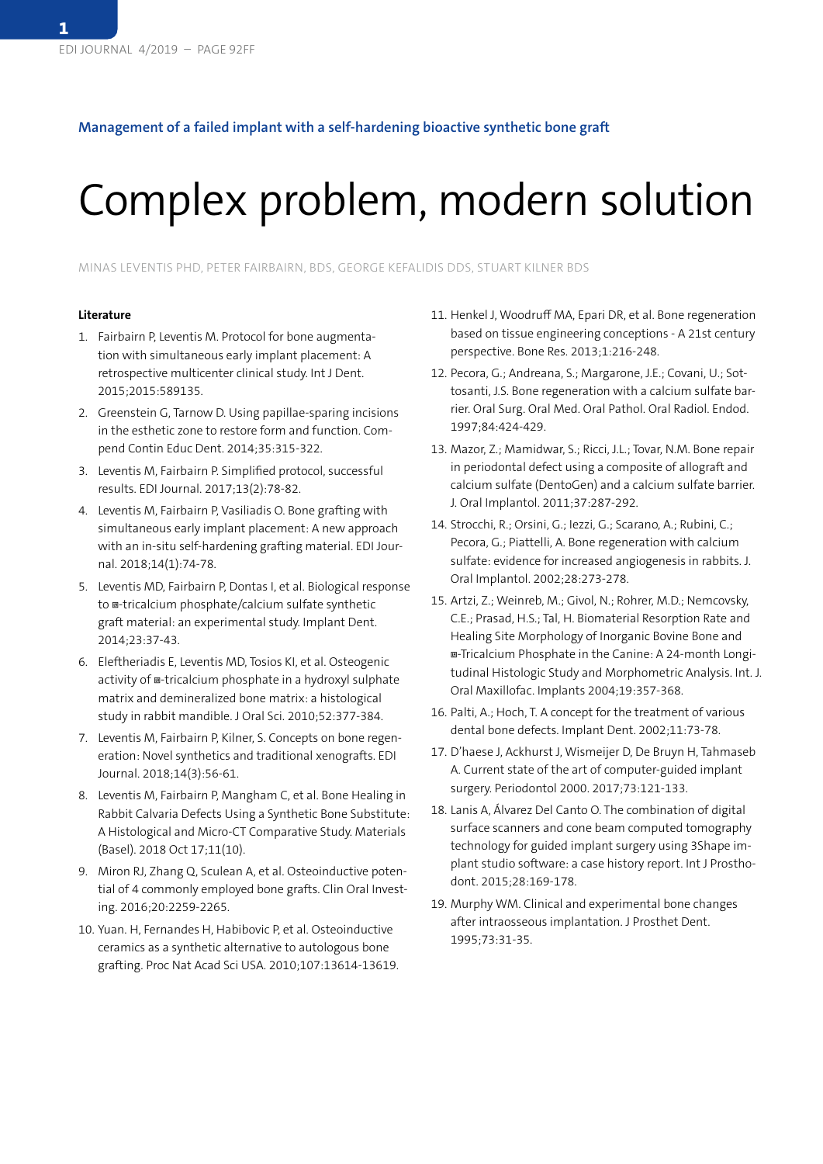## **Management of a failed implant with a self-hardening bioactive synthetic bone graft**

## Complex problem, modern solution

## MINAS LEVENTIS PHD, PETER FAIRBAIRN, BDS, GEORGE KEFALIDIS DDS, STUART KILNER BDS

## **Literature**

- 1. Fairbairn P, Leventis M. Protocol for bone augmentation with simultaneous early implant placement: A retrospective multicenter clinical study. Int J Dent. 2015;2015:589135.
- 2. Greenstein G, Tarnow D. Using papillae-sparing incisions in the esthetic zone to restore form and function. Compend Contin Educ Dent. 2014;35:315-322.
- 3. Leventis M, Fairbairn P. Simplified protocol, successful results. EDI Journal. 2017;13(2):78-82.
- 4. Leventis M, Fairbairn P, Vasiliadis O. Bone grafting with simultaneous early implant placement: A new approach with an in-situ self-hardening grafting material. EDI Journal. 2018;14(1):74-78.
- 5. Leventis MD, Fairbairn P, Dontas I, et al. Biological response to -tricalcium phosphate/calcium sulfate synthetic graft material: an experimental study. Implant Dent. 2014;23:37-43.
- 6. Eleftheriadis E, Leventis MD, Tosios KI, et al. Osteogenic activity of -tricalcium phosphate in a hydroxyl sulphate matrix and demineralized bone matrix: a histological study in rabbit mandible. J Oral Sci. 2010;52:377-384.
- 7. Leventis M, Fairbairn P, Kilner, S. Concepts on bone regeneration: Novel synthetics and traditional xenografts. EDI Journal. 2018;14(3):56-61.
- 8. Leventis M, Fairbairn P, Mangham C, et al. Bone Healing in Rabbit Calvaria Defects Using a Synthetic Bone Substitute: A Histological and Micro-CT Comparative Study. Materials (Basel). 2018 Oct 17;11(10).
- 9. Miron RJ, Zhang Q, Sculean A, et al. Osteoinductive potential of 4 commonly employed bone grafts. Clin Oral Investing. 2016;20:2259-2265.
- 10. Yuan. H, Fernandes H, Habibovic P, et al. Osteoinductive ceramics as a synthetic alternative to autologous bone grafting. Proc Nat Acad Sci USA. 2010;107:13614-13619.
- 11. Henkel J, Woodruff MA, Epari DR, et al. Bone regeneration based on tissue engineering conceptions - A 21st century perspective. Bone Res. 2013;1:216-248.
- 12. Pecora, G.; Andreana, S.; Margarone, J.E.; Covani, U.; Sottosanti, J.S. Bone regeneration with a calcium sulfate barrier. Oral Surg. Oral Med. Oral Pathol. Oral Radiol. Endod. 1997;84:424-429.
- 13. Mazor, Z.; Mamidwar, S.; Ricci, J.L.; Tovar, N.M. Bone repair in periodontal defect using a composite of allograft and calcium sulfate (DentoGen) and a calcium sulfate barrier. J. Oral Implantol. 2011;37:287-292.
- 14. Strocchi, R.; Orsini, G.; Iezzi, G.; Scarano, A.; Rubini, C.; Pecora, G.; Piattelli, A. Bone regeneration with calcium sulfate: evidence for increased angiogenesis in rabbits. J. Oral Implantol. 2002;28:273-278.
- 15. Artzi, Z.; Weinreb, M.; Givol, N.; Rohrer, M.D.; Nemcovsky, C.E.; Prasad, H.S.; Tal, H. Biomaterial Resorption Rate and Healing Site Morphology of Inorganic Bovine Bone and β-Tricalcium Phosphate in the Canine: A 24-month Longitudinal Histologic Study and Morphometric Analysis. Int. J. Oral Maxillofac. Implants 2004;19:357-368.
- 16. Palti, A.; Hoch, T. A concept for the treatment of various dental bone defects. Implant Dent. 2002;11:73-78.
- 17. D'haese J, Ackhurst J, Wismeijer D, De Bruyn H, Tahmaseb A. Current state of the art of computer-guided implant surgery. Periodontol 2000. 2017;73:121-133.
- 18. Lanis A, Álvarez Del Canto O. The combination of digital surface scanners and cone beam computed tomography technology for guided implant surgery using 3Shape implant studio software: a case history report. Int J Prosthodont. 2015;28:169-178.
- 19. Murphy WM. Clinical and experimental bone changes after intraosseous implantation. J Prosthet Dent. 1995;73:31-35.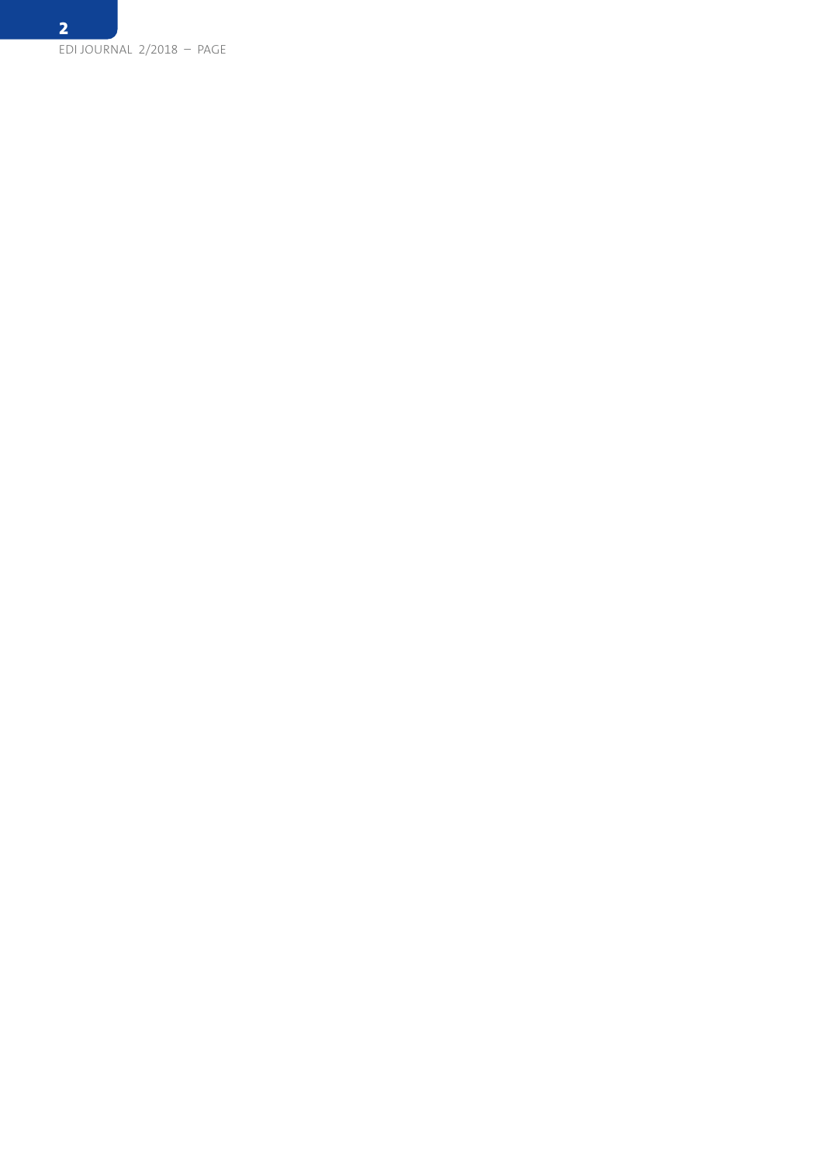$\overline{2}$ EDIJOURNAL 2/2018 - PAGE